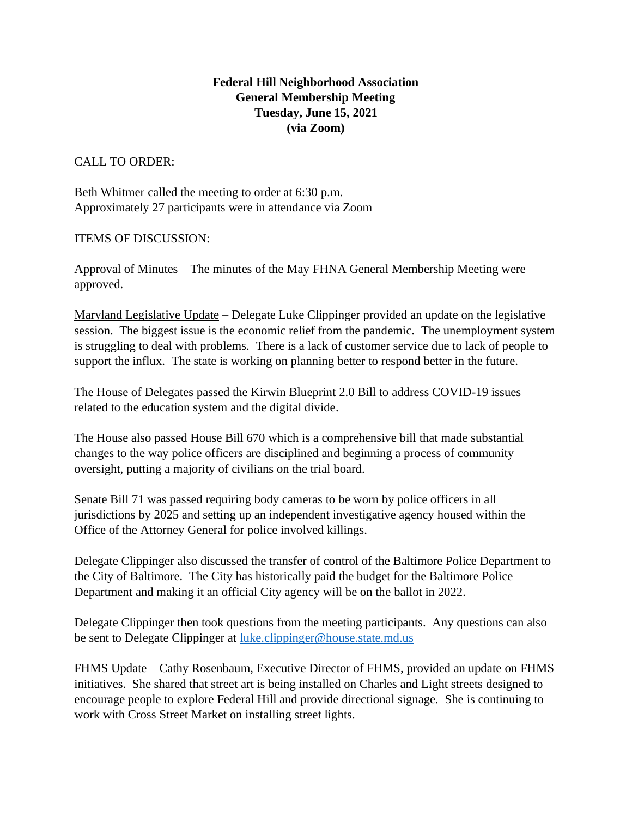## **Federal Hill Neighborhood Association General Membership Meeting Tuesday, June 15, 2021 (via Zoom)**

CALL TO ORDER:

Beth Whitmer called the meeting to order at 6:30 p.m. Approximately 27 participants were in attendance via Zoom

ITEMS OF DISCUSSION:

Approval of Minutes – The minutes of the May FHNA General Membership Meeting were approved.

Maryland Legislative Update – Delegate Luke Clippinger provided an update on the legislative session. The biggest issue is the economic relief from the pandemic. The unemployment system is struggling to deal with problems. There is a lack of customer service due to lack of people to support the influx. The state is working on planning better to respond better in the future.

The House of Delegates passed the Kirwin Blueprint 2.0 Bill to address COVID-19 issues related to the education system and the digital divide.

The House also passed House Bill 670 which is a comprehensive bill that made substantial changes to the way police officers are disciplined and beginning a process of community oversight, putting a majority of civilians on the trial board.

Senate Bill 71 was passed requiring body cameras to be worn by police officers in all jurisdictions by 2025 and setting up an independent investigative agency housed within the Office of the Attorney General for police involved killings.

Delegate Clippinger also discussed the transfer of control of the Baltimore Police Department to the City of Baltimore. The City has historically paid the budget for the Baltimore Police Department and making it an official City agency will be on the ballot in 2022.

Delegate Clippinger then took questions from the meeting participants. Any questions can also be sent to Delegate Clippinger at [luke.clippinger@house.state.md.us](mailto:luke.clippinger@house.state.md.us)

FHMS Update – Cathy Rosenbaum, Executive Director of FHMS, provided an update on FHMS initiatives. She shared that street art is being installed on Charles and Light streets designed to encourage people to explore Federal Hill and provide directional signage. She is continuing to work with Cross Street Market on installing street lights.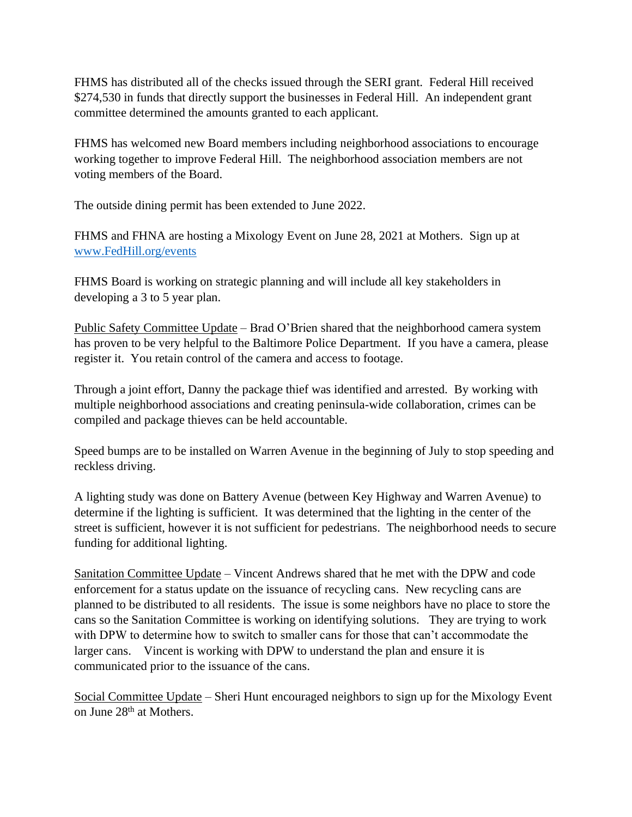FHMS has distributed all of the checks issued through the SERI grant. Federal Hill received \$274,530 in funds that directly support the businesses in Federal Hill. An independent grant committee determined the amounts granted to each applicant.

FHMS has welcomed new Board members including neighborhood associations to encourage working together to improve Federal Hill. The neighborhood association members are not voting members of the Board.

The outside dining permit has been extended to June 2022.

FHMS and FHNA are hosting a Mixology Event on June 28, 2021 at Mothers. Sign up at [www.FedHill.org/events](http://www.fedhill.org/events)

FHMS Board is working on strategic planning and will include all key stakeholders in developing a 3 to 5 year plan.

Public Safety Committee Update – Brad O'Brien shared that the neighborhood camera system has proven to be very helpful to the Baltimore Police Department. If you have a camera, please register it. You retain control of the camera and access to footage.

Through a joint effort, Danny the package thief was identified and arrested. By working with multiple neighborhood associations and creating peninsula-wide collaboration, crimes can be compiled and package thieves can be held accountable.

Speed bumps are to be installed on Warren Avenue in the beginning of July to stop speeding and reckless driving.

A lighting study was done on Battery Avenue (between Key Highway and Warren Avenue) to determine if the lighting is sufficient. It was determined that the lighting in the center of the street is sufficient, however it is not sufficient for pedestrians. The neighborhood needs to secure funding for additional lighting.

Sanitation Committee Update – Vincent Andrews shared that he met with the DPW and code enforcement for a status update on the issuance of recycling cans. New recycling cans are planned to be distributed to all residents. The issue is some neighbors have no place to store the cans so the Sanitation Committee is working on identifying solutions. They are trying to work with DPW to determine how to switch to smaller cans for those that can't accommodate the larger cans. Vincent is working with DPW to understand the plan and ensure it is communicated prior to the issuance of the cans.

Social Committee Update – Sheri Hunt encouraged neighbors to sign up for the Mixology Event on June 28th at Mothers.